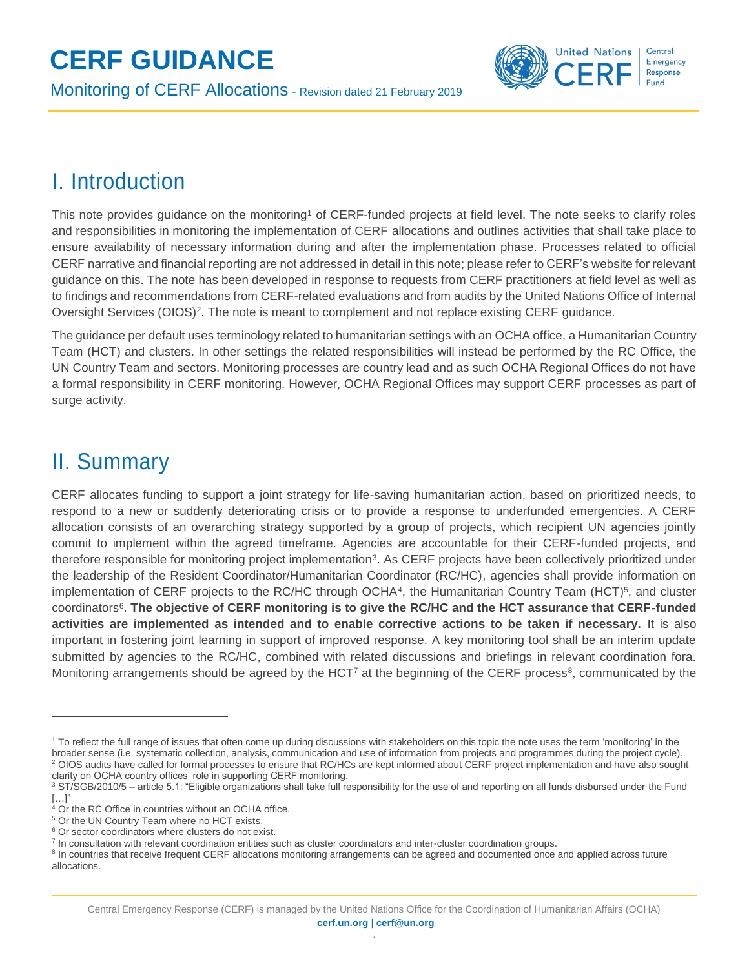# **CERF GUIDANCE**

Monitoring of CERF Allocations - Revision dated 21 February <sup>2019</sup>



### I. Introduction

This note provides guidance on the monitoring<sup>1</sup> of CERF-funded projects at field level. The note seeks to clarify roles and responsibilities in monitoring the implementation of CERF allocations and outlines activities that shall take place to ensure availability of necessary information during and after the implementation phase. Processes related to official CERF narrative and financial reporting are not addressed in detail in this note; please refer to CERF's website for relevant guidance on this. The note has been developed in response to requests from CERF practitioners at field level as well as to findings and recommendations from CERF-related evaluations and from audits by the United Nations Office of Internal Oversight Services (OIOS)<sup>2</sup>. The note is meant to complement and not replace existing CERF guidance.

The guidance per default uses terminology related to humanitarian settings with an OCHA office, a Humanitarian Country Team (HCT) and clusters. In other settings the related responsibilities will instead be performed by the RC Office, the UN Country Team and sectors. Monitoring processes are country lead and as such OCHA Regional Offices do not have a formal responsibility in CERF monitoring. However, OCHA Regional Offices may support CERF processes as part of surge activity.

### II. Summary

 $\overline{a}$ 

CERF allocates funding to support a joint strategy for life-saving humanitarian action, based on prioritized needs, to respond to a new or suddenly deteriorating crisis or to provide a response to underfunded emergencies. A CERF allocation consists of an overarching strategy supported by a group of projects, which recipient UN agencies jointly commit to implement within the agreed timeframe. Agencies are accountable for their CERF-funded projects, and therefore responsible for monitoring project implementation<sup>3</sup>. As CERF projects have been collectively prioritized under the leadership of the Resident Coordinator/Humanitarian Coordinator (RC/HC), agencies shall provide information on implementation of CERF projects to the RC/HC through OCHA<sup>4</sup>, the Humanitarian Country Team (HCT)<sup>5</sup>, and cluster coordinators<sup>6</sup>. The objective of CERF monitoring is to give the RC/HC and the HCT assurance that CERF-funded **activities are implemented as intended and to enable corrective actions to be taken if necessary.** It is also important in fostering joint learning in support of improved response. A key monitoring tool shall be an interim update submitted by agencies to the RC/HC, combined with related discussions and briefings in relevant coordination fora. Monitoring arrangements should be agreed by the HCT<sup>7</sup> at the beginning of the CERF process<sup>8</sup>, communicated by the

<sup>&</sup>lt;sup>1</sup> To reflect the full range of issues that often come up during discussions with stakeholders on this topic the note uses the term 'monitoring' in the broader sense (i.e. systematic collection, analysis, communication and use of information from projects and programmes during the project cycle). <sup>2</sup> OIOS audits have called for formal processes to ensure that RC/HCs are kept informed about CERF project implementation and have also sought clarity on OCHA country offices' role in supporting CERF monitoring.

<sup>&</sup>lt;sup>3</sup> ST/SGB/2010/5 – article 5.1: "Eligible organizations shall take full responsibility for the use of and reporting on all funds disbursed under the Fund […]"

<sup>&</sup>lt;sup>4</sup> Or the RC Office in countries without an OCHA office.

<sup>&</sup>lt;sup>5</sup> Or the UN Country Team where no HCT exists.

<sup>&</sup>lt;sup>6</sup> Or sector coordinators where clusters do not exist.

<sup>&</sup>lt;sup>7</sup> In consultation with relevant coordination entities such as cluster coordinators and inter-cluster coordination groups.

<sup>&</sup>lt;sup>8</sup> In countries that receive frequent CERF allocations monitoring arrangements can be agreed and documented once and applied across future allocations.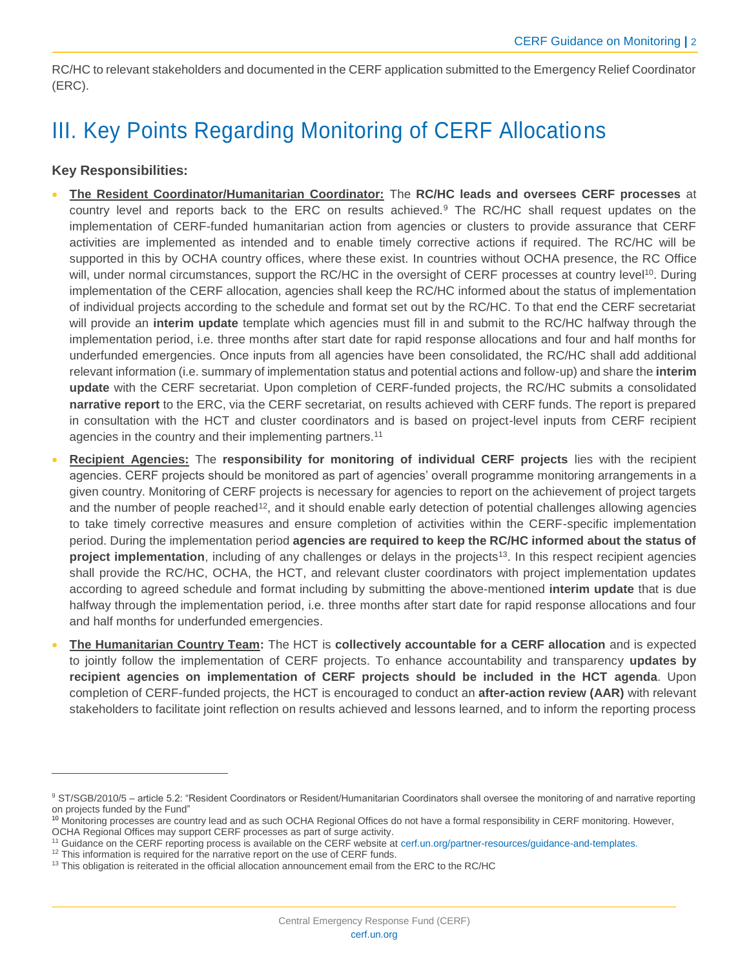RC/HC to relevant stakeholders and documented in the CERF application submitted to the Emergency Relief Coordinator (ERC).

## III. Key Points Regarding Monitoring of CERF Allocations

#### **Key Responsibilities:**

 $\overline{a}$ 

- **The Resident Coordinator/Humanitarian Coordinator:** The **RC/HC leads and oversees CERF processes** at country level and reports back to the ERC on results achieved.<sup>9</sup> The RC/HC shall request updates on the implementation of CERF-funded humanitarian action from agencies or clusters to provide assurance that CERF activities are implemented as intended and to enable timely corrective actions if required. The RC/HC will be supported in this by OCHA country offices, where these exist. In countries without OCHA presence, the RC Office will, under normal circumstances, support the RC/HC in the oversight of CERF processes at country level<sup>10</sup>. During implementation of the CERF allocation, agencies shall keep the RC/HC informed about the status of implementation of individual projects according to the schedule and format set out by the RC/HC. To that end the CERF secretariat will provide an **interim update** template which agencies must fill in and submit to the RC/HC halfway through the implementation period, i.e. three months after start date for rapid response allocations and four and half months for underfunded emergencies. Once inputs from all agencies have been consolidated, the RC/HC shall add additional relevant information (i.e. summary of implementation status and potential actions and follow-up) and share the **interim update** with the CERF secretariat. Upon completion of CERF-funded projects, the RC/HC submits a consolidated **narrative report** to the ERC, via the CERF secretariat, on results achieved with CERF funds. The report is prepared in consultation with the HCT and cluster coordinators and is based on project-level inputs from CERF recipient agencies in the country and their implementing partners.<sup>11</sup>
- **Recipient Agencies:** The **responsibility for monitoring of individual CERF projects** lies with the recipient agencies. CERF projects should be monitored as part of agencies' overall programme monitoring arrangements in a given country. Monitoring of CERF projects is necessary for agencies to report on the achievement of project targets and the number of people reached<sup>12</sup>, and it should enable early detection of potential challenges allowing agencies to take timely corrective measures and ensure completion of activities within the CERF-specific implementation period. During the implementation period **agencies are required to keep the RC/HC informed about the status of project implementation**, including of any challenges or delays in the projects<sup>13</sup>. In this respect recipient agencies shall provide the RC/HC, OCHA, the HCT, and relevant cluster coordinators with project implementation updates according to agreed schedule and format including by submitting the above-mentioned **interim update** that is due halfway through the implementation period, i.e. three months after start date for rapid response allocations and four and half months for underfunded emergencies.
- **The Humanitarian Country Team:** The HCT is **collectively accountable for a CERF allocation** and is expected to jointly follow the implementation of CERF projects. To enhance accountability and transparency **updates by recipient agencies on implementation of CERF projects should be included in the HCT agenda**. Upon completion of CERF-funded projects, the HCT is encouraged to conduct an **after-action review (AAR)** with relevant stakeholders to facilitate joint reflection on results achieved and lessons learned, and to inform the reporting process

<sup>9</sup> ST/SGB/2010/5 – article 5.2: "Resident Coordinators or Resident/Humanitarian Coordinators shall oversee the monitoring of and narrative reporting on projects funded by the Fund"

<sup>&</sup>lt;sup>10</sup> Monitoring processes are country lead and as such OCHA Regional Offices do not have a formal responsibility in CERF monitoring. However, OCHA Regional Offices may support CERF processes as part of surge activity.

<sup>11</sup> Guidance on the CERF reporting process is available on the CERF website at [cerf.un.org/partner-resources/guidance-and-templates.](https://cerf.un.org/partner-resources/guidance-and-templates)

<sup>&</sup>lt;sup>12</sup> This information is required for the narrative report on the use of CERF funds.

 $13$  This obligation is reiterated in the official allocation announcement email from the ERC to the RC/HC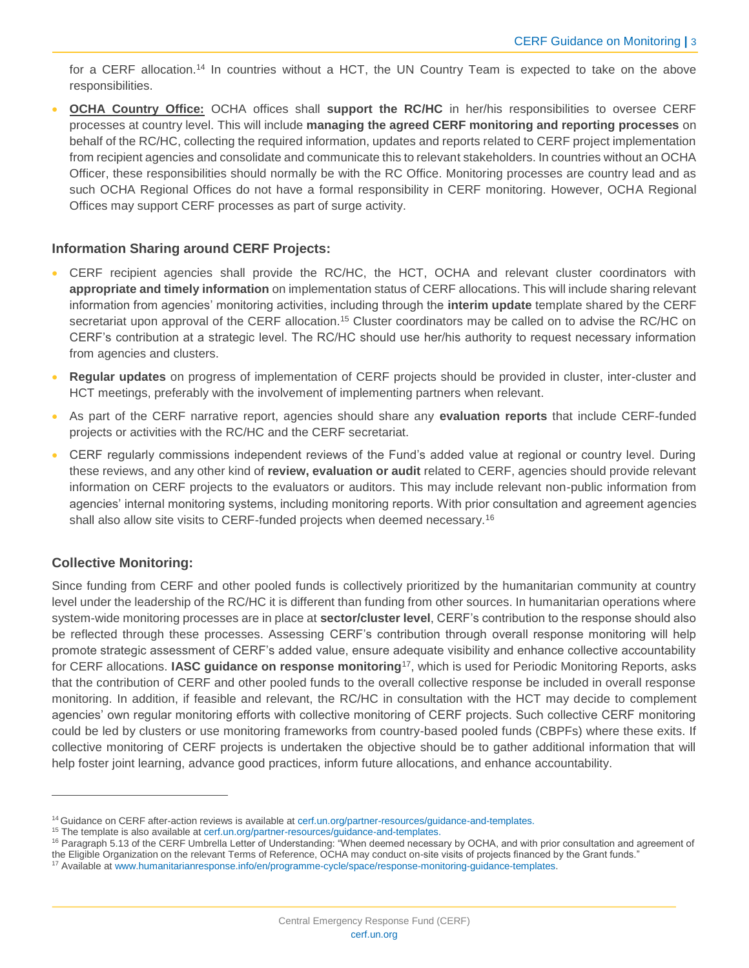for a CERF allocation.<sup>14</sup> In countries without a HCT, the UN Country Team is expected to take on the above responsibilities.

• **OCHA Country Office:** OCHA offices shall **support the RC/HC** in her/his responsibilities to oversee CERF processes at country level. This will include **managing the agreed CERF monitoring and reporting processes** on behalf of the RC/HC, collecting the required information, updates and reports related to CERF project implementation from recipient agencies and consolidate and communicate this to relevant stakeholders. In countries without an OCHA Officer, these responsibilities should normally be with the RC Office. Monitoring processes are country lead and as such OCHA Regional Offices do not have a formal responsibility in CERF monitoring. However, OCHA Regional Offices may support CERF processes as part of surge activity.

#### **Information Sharing around CERF Projects:**

- CERF recipient agencies shall provide the RC/HC, the HCT, OCHA and relevant cluster coordinators with **appropriate and timely information** on implementation status of CERF allocations. This will include sharing relevant information from agencies' monitoring activities, including through the **interim update** template shared by the CERF secretariat upon approval of the CERF allocation.<sup>15</sup> Cluster coordinators may be called on to advise the RC/HC on CERF's contribution at a strategic level. The RC/HC should use her/his authority to request necessary information from agencies and clusters.
- **Regular updates** on progress of implementation of CERF projects should be provided in cluster, inter-cluster and HCT meetings, preferably with the involvement of implementing partners when relevant.
- As part of the CERF narrative report, agencies should share any **evaluation reports** that include CERF-funded projects or activities with the RC/HC and the CERF secretariat.
- CERF regularly commissions independent reviews of the Fund's added value at regional or country level. During these reviews, and any other kind of **review, evaluation or audit** related to CERF, agencies should provide relevant information on CERF projects to the evaluators or auditors. This may include relevant non-public information from agencies' internal monitoring systems, including monitoring reports. With prior consultation and agreement agencies shall also allow site visits to CERF-funded projects when deemed necessary.<sup>16</sup>

#### **Collective Monitoring:**

 $\overline{a}$ 

Since funding from CERF and other pooled funds is collectively prioritized by the humanitarian community at country level under the leadership of the RC/HC it is different than funding from other sources. In humanitarian operations where system-wide monitoring processes are in place at **sector/cluster level**, CERF's contribution to the response should also be reflected through these processes. Assessing CERF's contribution through overall response monitoring will help promote strategic assessment of CERF's added value, ensure adequate visibility and enhance collective accountability for CERF allocations. **IASC guidance on response monitoring**<sup>17</sup>, which is used for Periodic Monitoring Reports, asks that the contribution of CERF and other pooled funds to the overall collective response be included in overall response monitoring. In addition, if feasible and relevant, the RC/HC in consultation with the HCT may decide to complement agencies' own regular monitoring efforts with collective monitoring of CERF projects. Such collective CERF monitoring could be led by clusters or use monitoring frameworks from country-based pooled funds (CBPFs) where these exits. If collective monitoring of CERF projects is undertaken the objective should be to gather additional information that will help foster joint learning, advance good practices, inform future allocations, and enhance accountability.

<sup>&</sup>lt;sup>14</sup> Guidance on CERF after-action reviews is available a[t cerf.un.org/partner-resources/guidance-and-templates.](https://cerf.un.org/partner-resources/guidance-and-templates)

<sup>&</sup>lt;sup>15</sup> The template is also available at [cerf.un.org/partner-resources/guidance-and-templates.](https://cerf.un.org/partner-resources/guidance-and-templates)

<sup>&</sup>lt;sup>16</sup> Paragraph 5.13 of the CERF Umbrella Letter of Understanding: "When deemed necessary by OCHA, and with prior consultation and agreement of the Eligible Organization on the relevant Terms of Reference, OCHA may conduct on-site visits of projects financed by the Grant funds."

<sup>17</sup> Available at [www.humanitarianresponse.info/en/programme-cycle/space/response-monitoring-guidance-templates.](http://www.humanitarianresponse.info/en/programme-cycle/space/response-monitoring-guidance-templates)